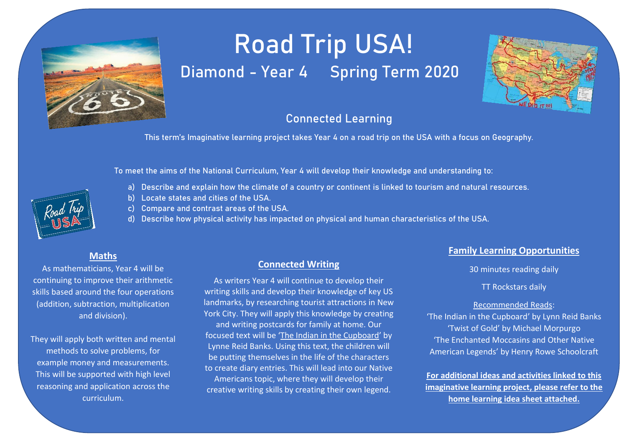

# Road Trip USA! Diamond - Year 4 Spring Term 2020



## Connected Learning

This term's Imaginative learning project takes Year 4 on a road trip on the USA with a focus on Geography.

To meet the aims of the National Curriculum, Year 4 will develop their knowledge and understanding to:

- a) Describe and explain how the climate of a country or continent is linked to tourism and natural resources.
- b) Locate states and cities of the USA.
- c) Compare and contrast areas of the USA.
- d) Describe how physical activity has impacted on physical and human characteristics of the USA.

## **Maths**

As mathematicians, Year 4 will be continuing to improve their arithmetic skills based around the four operations (addition, subtraction, multiplication and division).

They will apply both written and mental methods to solve problems, for example money and measurements. This will be supported with high level reasoning and application across the curriculum.

## **Connected Writing**

As writers Year 4 will continue to develop their writing skills and develop their knowledge of key US landmarks, by researching tourist attractions in New York City. They will apply this knowledge by creating and writing postcards for family at home. Our focused text will be 'The Indian in the Cupboard' by Lynne Reid Banks. Using this text, the children will be putting themselves in the life of the characters to create diary entries. This will lead into our Native Americans topic, where they will develop their creative writing skills by creating their own legend.

## **Family Learning Opportunities**

30 minutes reading daily

TT Rockstars daily

#### Recommended Reads:

'The Indian in the Cupboard' by Lynn Reid Banks 'Twist of Gold' by Michael Morpurgo 'The Enchanted Moccasins and Other Native American Legends' by Henry Rowe Schoolcraft

**For additional ideas and activities linked to this imaginative learning project, please refer to the home learning idea sheet attached.**